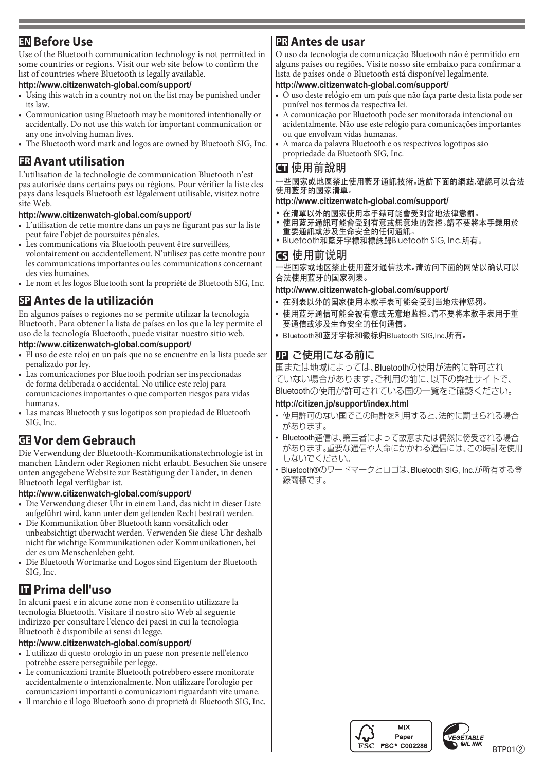## **EN** Before Use

Use of the Bluetooth communication technology is not permitted in some countries or regions. Visit our web site below to confirm the list of countries where Bluetooth is legally available.

#### http://www.citizenwatch-global.com/support/

- Using this watch in a country not on the list may be punished under its law
- Communication using Bluetooth may be monitored intentionally or accidentally. Do not use this watch for important communication or any one involving human lives.
- The Bluetooth word mark and logos are owned by Bluetooth SIG, Inc.

## **ER** Avant utilisation

L'utilisation de la technologie de communication Bluetooth n'est pas autorisée dans certains pays ou régions. Pour vérifier la liste des pays dans lesquels Bluetooth est légalement utilisable, visitez notre site Web

#### http://www.citizenwatch-global.com/support/

- L'utilisation de cette montre dans un pays ne figurant pas sur la liste peut faire l'objet de poursuites pénales.
- Les communications via Bluetooth peuvent être surveillées, volontairement ou accidentellement. N'utilisez pas cette montre pour les communications importantes ou les communications concernant des vies humaines.
- Le nom et les logos Bluetooth sont la propriété de Bluetooth SIG, Inc.

## **SP** Antes de la utilización

En algunos países o regiones no se permite utilizar la tecnología Bluetooth. Para obtener la lista de países en los que la ley permite el uso de la tecnología Bluetooth, puede visitar nuestro sitio web.

#### http://www.citizenwatch-global.com/support/

- « El uso de este reloj en un país que no se encuentre en la lista puede ser penalizado por ley.
- Las comunicaciones por Bluetooth podrían ser inspeccionadas de forma deliberada o accidental. No utilice este reloj para comunicaciones importantes o que comporten riesgos para vidas .humanas
- Las marcas Bluetooth y sus logotipos son propiedad de Bluetooth  $SIG$  Inc.

## **Gebrauch dem Vor GE**

Die Verwendung der Bluetooth-Kommunikationstechnologie ist in manchen Ländern oder Regionen nicht erlaubt. Besuchen Sie unsere unten angegebene Website zur Bestätigung der Länder, in denen Bluetooth legal verfügbar ist.

#### http://www.citizenwatch-global.com/support/

- Die Verwendung dieser Uhr in einem Land, das nicht in dieser Liste aufgeführt wird, kann unter dem geltenden Recht bestraft werden.
- Die Kommunikation über Bluetooth kann vorsätzlich oder unbeabsichtigt überwacht werden. Verwenden Sie diese Uhr deshalb nicht für wichtige Kommunikationen oder Kommunikationen, bei der es um Menschenleben geht.
- Die Bluetooth Wortmarke und Logos sind Eigentum der Bluetooth SIG, Inc.

# **ITT** Prima dell'uso

In alcuni paesi e in alcune zone non è consentito utilizzare la tecnologia Bluetooth. Visitare il nostro sito Web al seguente indirizzo per consultare l'elenco dei paesi in cui la tecnologia Bluetooth è disponibile ai sensi di legge.

#### http://www.citizenwatch-global.com/support/

- L'utilizzo di questo orologio in un paese non presente nell'elenco potrebbe essere perseguibile per legge.
- Le comunicazioni tramite Bluetooth potrebbero essere monitorate accidentalmente o intenzionalmente. Non utilizzare l'orologio per comunicazioni importanti o comunicazioni riguardanti vite umane.
- Il marchio e il logo Bluetooth sono di proprietà di Bluetooth SIG, Inc.

## **usar de Usar**

O uso da tecnologia de comunicação Bluetooth não é permitido em alguns países ou regiões. Visite nosso site embaixo para confirmar a lista de países onde o Bluetooth está disponível legalmente.

#### http://www.citizenwatch-global.com/support/

- O uso deste relógio em um país que não faça parte desta lista pode ser punível nos termos da respectiva lei.
- $\hat{A}$  comunicação por Bluetooth pode ser monitorada intencional ou acidentalmente. Não use este relógio para comunicações importantes ou que envolvam vidas humanas.
- A marca da palavra Bluetooth e os respectivos logotipos são propriedade da Bluetooth SIG, Inc.

## 使用前說明 **CT**

-些國家或地區禁止使用藍牙通訊技術。造訪下面的網站,確認可以合法 。使用藍牙的國家清單

#### http://www.citizenwatch-global.com/support/

- 在清單以外的國家使用本手錶可能會受到當地法律懲罰。
- 請不要將本手錶用於。使用藍牙通訊可能會受到有意或無意地的監控• 重要通訊或涉及生命安全的任何通訊。
- Bluetooth和藍牙字標和標誌歸Bluetooth SIG, Inc.所有。

#### 使用前说明 **CS**

·些国家或地区禁止使用蓝牙通信技术。请访问下面的网站以确认可以 。合法使用蓝牙的国家列表

#### http://www.citizenwatch-global.com/support/

- 。在列表以外的国家使用本款手表可能会受到当地法律惩罚**•**
- 使用蓝牙通信可能会被有意或无意地监控。请不要将本款手表用于重 。要通信或涉及生命安全的任何通信
- Bluetooth和蓝牙字标和徽标归Bluetooth SIG,Inc.所有。

### **JP ご使用になる前に**

国または地域によっては、Bluetoothの使用が法的に許可され ていない場合があります。ご利用の前に、以下の弊社サイトで、 。Bluetoothの使用が許可されている国の一覧をご確認ください

#### http://citizen.jp/support/index.html

- 使用許可のない国でこの時計を利用すると、法的に罰せられる場合 。があります
- · Bluetooth通信は、第三者によって故意または偶然に傍受される場合 があります。重要な通信や人命にかかわる通信には、この時計を使用 。しないでください
- Bluetooth®のワードマークとロゴは、Bluetooth SIG, Inc.が所有する登 録商標です。